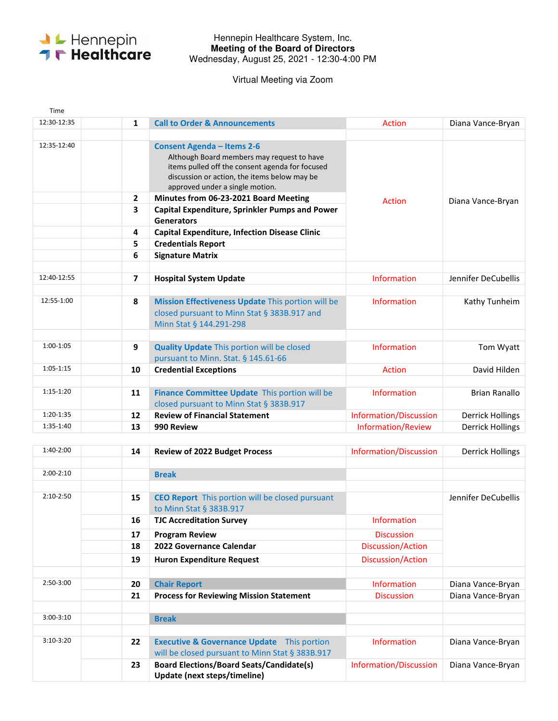

## Hennepin Healthcare System, Inc. **Meeting of the Board of Directors**  Wednesday, August 25, 2021 - 12:30-4:00 PM

Virtual Meeting via Zoom

| Time        |                   |                                                                                                                                                                                                                       |                               |                         |
|-------------|-------------------|-----------------------------------------------------------------------------------------------------------------------------------------------------------------------------------------------------------------------|-------------------------------|-------------------------|
| 12:30-12:35 | 1                 | <b>Call to Order &amp; Announcements</b>                                                                                                                                                                              | Action                        | Diana Vance-Bryan       |
| 12:35-12:40 |                   | <b>Consent Agenda - Items 2-6</b><br>Although Board members may request to have<br>items pulled off the consent agenda for focused<br>discussion or action, the items below may be<br>approved under a single motion. | Action                        | Diana Vance-Bryan       |
|             | $\mathbf{2}$<br>3 | Minutes from 06-23-2021 Board Meeting                                                                                                                                                                                 |                               |                         |
|             |                   | <b>Capital Expenditure, Sprinkler Pumps and Power</b><br><b>Generators</b>                                                                                                                                            |                               |                         |
|             | 4                 | <b>Capital Expenditure, Infection Disease Clinic</b>                                                                                                                                                                  |                               |                         |
|             | 5                 | <b>Credentials Report</b>                                                                                                                                                                                             |                               |                         |
|             | 6                 | <b>Signature Matrix</b>                                                                                                                                                                                               |                               |                         |
| 12:40-12:55 | 7                 | <b>Hospital System Update</b>                                                                                                                                                                                         | <b>Information</b>            | Jennifer DeCubellis     |
| 12:55-1:00  | 8                 | Mission Effectiveness Update This portion will be<br>closed pursuant to Minn Stat § 383B.917 and<br>Minn Stat § 144.291-298                                                                                           | <b>Information</b>            | Kathy Tunheim           |
| 1:00-1:05   | 9                 | <b>Quality Update This portion will be closed</b><br>pursuant to Minn. Stat. § 145.61-66                                                                                                                              | <b>Information</b>            | Tom Wyatt               |
| $1:05-1:15$ | 10                | <b>Credential Exceptions</b>                                                                                                                                                                                          | Action                        | David Hilden            |
| $1:15-1:20$ | 11                | Finance Committee Update This portion will be<br>closed pursuant to Minn Stat § 383B.917                                                                                                                              | <b>Information</b>            | <b>Brian Ranallo</b>    |
| 1:20-1:35   | 12                | <b>Review of Financial Statement</b>                                                                                                                                                                                  | <b>Information/Discussion</b> | <b>Derrick Hollings</b> |
| 1:35-1:40   | 13                | 990 Review                                                                                                                                                                                                            | <b>Information/Review</b>     | <b>Derrick Hollings</b> |

| $1:40-2:00$ | 14 | <b>Review of 2022 Budget Process</b>                                                                        | Information/Discussion | <b>Derrick Hollings</b> |
|-------------|----|-------------------------------------------------------------------------------------------------------------|------------------------|-------------------------|
| $2:00-2:10$ |    | <b>Break</b>                                                                                                |                        |                         |
|             |    |                                                                                                             |                        |                         |
| $2:10-2:50$ | 15 | <b>CEO Report</b> This portion will be closed pursuant<br>to Minn Stat § 383B.917                           |                        | Jennifer DeCubellis     |
|             | 16 | <b>TJC Accreditation Survey</b>                                                                             | <b>Information</b>     |                         |
|             | 17 | <b>Program Review</b>                                                                                       | <b>Discussion</b>      |                         |
|             | 18 | 2022 Governance Calendar                                                                                    | Discussion/Action      |                         |
|             | 19 | <b>Huron Expenditure Request</b>                                                                            | Discussion/Action      |                         |
|             |    |                                                                                                             |                        |                         |
| $2:50-3:00$ | 20 | <b>Chair Report</b>                                                                                         | <b>Information</b>     | Diana Vance-Bryan       |
|             | 21 | <b>Process for Reviewing Mission Statement</b>                                                              | <b>Discussion</b>      | Diana Vance-Bryan       |
| $3:00-3:10$ |    | <b>Break</b>                                                                                                |                        |                         |
| $3:10-3:20$ | 22 | <b>Executive &amp; Governance Update</b><br>This portion<br>will be closed pursuant to Minn Stat § 383B.917 | <b>Information</b>     | Diana Vance-Bryan       |
|             | 23 | <b>Board Elections/Board Seats/Candidate(s)</b><br>Update (next steps/timeline)                             | Information/Discussion | Diana Vance-Bryan       |